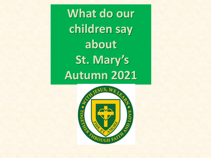**What do our children say about St. Mary's Autumn 2021**

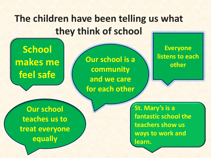# **The children have been telling us what they think of school**

**School makes me feel safe** 

**Our school is a community and we care for each other**

**Everyone listens to each other**

**Our school teaches us to treat everyone equally**

**St. Mary's is a fantastic school the teachers show us ways to work and learn.**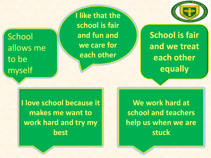School allows me to be myself

**I like that the school is fair and fun and we care for each other**



**School is fair and we treat each other equally**

**I love school because it makes me want to work hard and try my best**

**We work hard at school and teachers help us when we are stuck**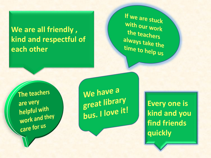**We are all friendly , kind and respectful of each other**

If we are stuck With our work the teachers always take the time to help us

The teachers are very helpful with work and they care for us

We have a  $\frac{1}{\text{great library}}$  $\frac{g_{\text{re}}}{h_{\text{us}} + h_{\text{over}}}$ 

**Every one is kind and you find friends quickly**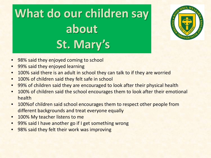# **What do our children say about St. Mary's**



- 98% said they enjoyed coming to school
- 99% said they enjoyed learning
- 100% said there is an adult in school they can talk to if they are worried
- 100% of children said they felt safe in school
- 99% of children said they are encouraged to look after their physical health
- 100% of children said the school encourages them to look after their emotional health
- 100%of children said school encourages them to respect other people from different backgrounds and treat everyone equally
- 100% My teacher listens to me
- 99% said I have another go if I get something wrong
- 98% said they felt their work was improving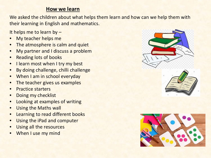# **How we learn**

We asked the children about what helps them learn and how can we help them with their learning in English and mathematics.

It helps me to learn by –

- My teacher helps me
- The atmosphere is calm and quiet
- My partner and I discuss a problem
- Reading lots of books
- I learn most when I try my best
- By doing challenge, chilli challenge
- When I am in school everyday
- The teacher gives us examples
- Practice starters
- Doing my checklist
- Looking at examples of writing
- Using the Maths wall
- Learning to read different books
- Using the iPad and computer
- Using all the resources
- When I use my mind





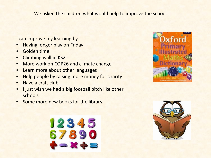# We asked the children what would help to improve the school

# I can improve my learning by-

- Having longer play on Friday
- Golden time
- Climbing wall in KS2
- More work on COP26 and climate change
- **Learn more about other languages**
- Help people by raising more money for charity
- Have a craft club
- I just wish we had a big football pitch like other schools
- Some more new books for the library.